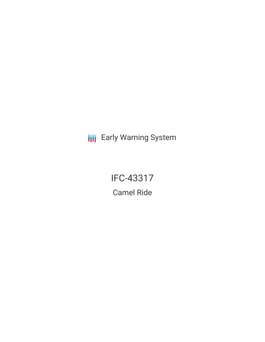**III** Early Warning System

IFC-43317 Camel Ride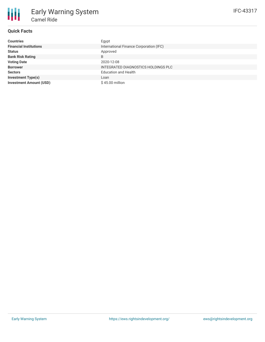# **Quick Facts**

朋

| <b>Countries</b>               | Egypt                                   |
|--------------------------------|-----------------------------------------|
| <b>Financial Institutions</b>  | International Finance Corporation (IFC) |
| <b>Status</b>                  | Approved                                |
| <b>Bank Risk Rating</b>        | B                                       |
| <b>Voting Date</b>             | 2020-12-08                              |
| <b>Borrower</b>                | INTEGRATED DIAGNOSTICS HOLDINGS PLC     |
| <b>Sectors</b>                 | <b>Education and Health</b>             |
| <b>Investment Type(s)</b>      | Loan                                    |
| <b>Investment Amount (USD)</b> | \$45.00 million                         |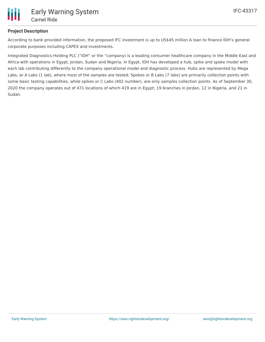

# **Project Description**

According to bank provided information, the proposed IFC investment is up to US\$45 million A loan to finance IDH's general corporate purposes including CAPEX and investments.

Integrated Diagnostics Holding PLC ("IDH" or the "company) is a leading consumer healthcare company in the Middle East and Africa with operations in Egypt, Jordan, Sudan and Nigeria. In Egypt, IDH has developed a hub, spike and spoke model with each lab contributing differently to the company operational model and diagnostic process. Hubs are represented by Mega Labs, or A Labs (1 lab), where most of the samples are tested; Spokes or B Labs (7 labs) are primarily collection points with some basic testing capabilities, while spikes or C Labs (402 number), are only samples collection points. As of September 30, 2020 the company operates out of 471 locations of which 419 are in Egypt; 19 branches in Jordan, 12 in Nigeria, and 21 in Sudan.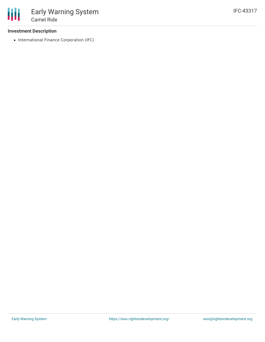## **Investment Description**

• International Finance Corporation (IFC)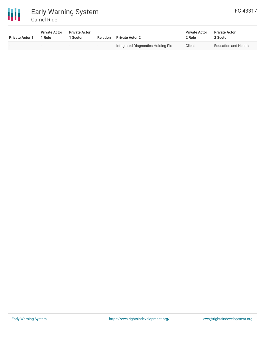

# Early Warning System Camel Ride

| <b>Private Actor 1</b> | <b>Private Actor</b><br>1 Role | <b>Private Actor</b><br>Sector | <b>Relation</b> | <b>Private Actor 2</b>             | <b>Private Actor</b><br>2 Role | <b>Private Actor</b><br>2 Sector |
|------------------------|--------------------------------|--------------------------------|-----------------|------------------------------------|--------------------------------|----------------------------------|
|                        |                                | $\overline{\phantom{0}}$       | $\sim$          | Integrated Diagnostics Holding Plc | Client                         | Education and Health             |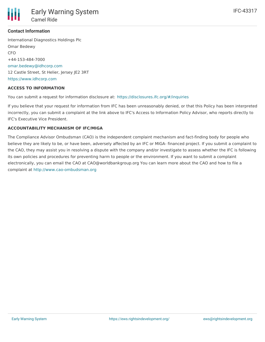

## **Contact Information**

International Diagnostics Holdings Plc Omar Bedewy CFO +44-153-484-7000 [omar.bedewy@idhcorp.com](mailto:omar.bedewy@idhcorp.com) 12 Castle Street, St Helier, Jersey JE2 3RT <https://www.idhcorp.com>

#### **ACCESS TO INFORMATION**

You can submit a request for information disclosure at: <https://disclosures.ifc.org/#/inquiries>

If you believe that your request for information from IFC has been unreasonably denied, or that this Policy has been interpreted incorrectly, you can submit a complaint at the link above to IFC's Access to Information Policy Advisor, who reports directly to IFC's Executive Vice President.

#### **ACCOUNTABILITY MECHANISM OF IFC/MIGA**

The Compliance Advisor Ombudsman (CAO) is the independent complaint mechanism and fact-finding body for people who believe they are likely to be, or have been, adversely affected by an IFC or MIGA- financed project. If you submit a complaint to the CAO, they may assist you in resolving a dispute with the company and/or investigate to assess whether the IFC is following its own policies and procedures for preventing harm to people or the environment. If you want to submit a complaint electronically, you can email the CAO at CAO@worldbankgroup.org You can learn more about the CAO and how to file a complaint at <http://www.cao-ombudsman.org>